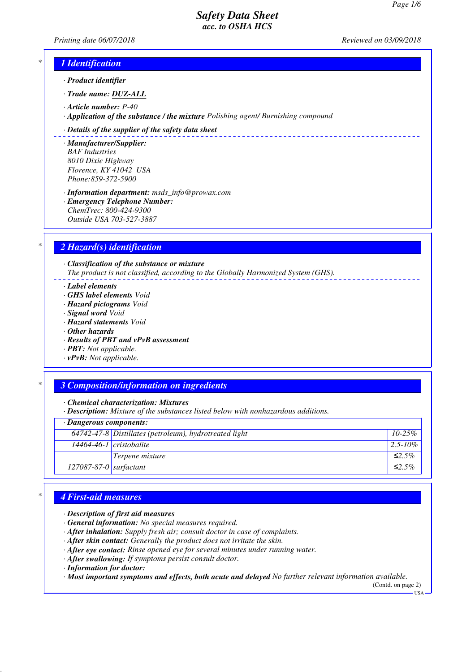*Printing date 06/07/2018 Reviewed on 03/09/2018*

## *\* 1 Identification*

- *· Product identifier*
- *· Trade name: DUZ-ALL*
- *· Article number: P-40*
- *· Application of the substance / the mixture Polishing agent/ Burnishing compound*

#### *· Details of the supplier of the safety data sheet*

- *· Manufacturer/Supplier: BAF Industries 8010 Dixie Highway Florence, KY 41042 USA Phone:859-372-5900*
- *· Information department: msds\_info@prowax.com · Emergency Telephone Number: ChemTrec: 800-424-9300 Outside USA 703-527-3887*

### *\* 2 Hazard(s) identification*

*· Classification of the substance or mixture The product is not classified, according to the Globally Harmonized System (GHS).*

- *· Label elements*
- *· GHS label elements Void*
- *· Hazard pictograms Void*
- *· Signal word Void*
- *· Hazard statements Void*
- *· Other hazards*
- *· Results of PBT and vPvB assessment*
- *· PBT: Not applicable.*
- *· vPvB: Not applicable.*

### *\* 3 Composition/information on ingredients*

*· Chemical characterization: Mixtures*

*· Description: Mixture of the substances listed below with nonhazardous additions.*

# *· Dangerous components:*

| <i>Bangerous components.</i> |                                                                      |               |
|------------------------------|----------------------------------------------------------------------|---------------|
|                              | $\overline{64742}$ -47-8 Distillates (petroleum), hydrotreated light | $10-25\%$     |
|                              | $14464-46-1$ cristobalite                                            | $12.5 - 10\%$ |
|                              | Terpene mixture                                                      | ≤2.5%         |
| $127087-87-0$ surfactant     |                                                                      | $\leq 2.5\%$  |

### *\* 4 First-aid measures*

- *· Description of first aid measures*
- *· General information: No special measures required.*
- *· After inhalation: Supply fresh air; consult doctor in case of complaints.*
- *· After skin contact: Generally the product does not irritate the skin.*
- *· After eye contact: Rinse opened eye for several minutes under running water.*
- *· After swallowing: If symptoms persist consult doctor.*
- *· Information for doctor:*

*· Most important symptoms and effects, both acute and delayed No further relevant information available.*

(Contd. on page 2)  $-<sub>USA</sub>$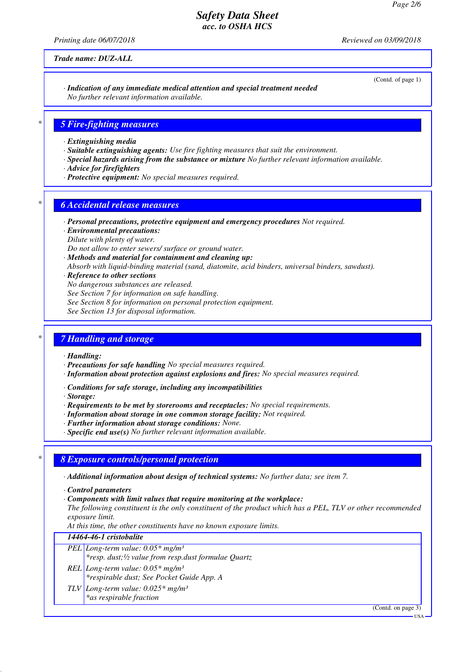*Printing date 06/07/2018 Reviewed on 03/09/2018*

*Trade name: DUZ-ALL*

(Contd. of page 1)

#### *· Indication of any immediate medical attention and special treatment needed No further relevant information available.*

# *\* 5 Fire-fighting measures*

- *· Extinguishing media*
- *· Suitable extinguishing agents: Use fire fighting measures that suit the environment.*
- *· Special hazards arising from the substance or mixture No further relevant information available.*
- *· Advice for firefighters*
- *· Protective equipment: No special measures required.*

### *\* 6 Accidental release measures*

- *· Personal precautions, protective equipment and emergency procedures Not required.*
- *· Environmental precautions:*
- *Dilute with plenty of water.*

*Do not allow to enter sewers/ surface or ground water.*

- *· Methods and material for containment and cleaning up:*
- *Absorb with liquid-binding material (sand, diatomite, acid binders, universal binders, sawdust).*
- *· Reference to other sections*
- *No dangerous substances are released.*
- *See Section 7 for information on safe handling.*
- *See Section 8 for information on personal protection equipment.*
- *See Section 13 for disposal information.*

### *\* 7 Handling and storage*

- *· Handling:*
- *· Precautions for safe handling No special measures required.*
- *· Information about protection against explosions and fires: No special measures required.*
- *· Conditions for safe storage, including any incompatibilities*
- *· Storage:*
- *· Requirements to be met by storerooms and receptacles: No special requirements.*
- *· Information about storage in one common storage facility: Not required.*
- *· Further information about storage conditions: None.*
- *· Specific end use(s) No further relevant information available.*

### *\* 8 Exposure controls/personal protection*

- *· Additional information about design of technical systems: No further data; see item 7.*
- *· Control parameters*
- *· Components with limit values that require monitoring at the workplace:*
- *The following constituent is the only constituent of the product which has a PEL, TLV or other recommended exposure limit.*

*At this time, the other constituents have no known exposure limits.*

# *14464-46-1 cristobalite*

- *PEL Long-term value: 0.05\* mg/m³*
- *\*resp. dust;½ value from resp.dust formulae Quartz*
- *REL Long-term value: 0.05\* mg/m³ \*respirable dust; See Pocket Guide App. A*
- *TLV Long-term value: 0.025\* mg/m³ \*as respirable fraction*

(Contd. on page 3)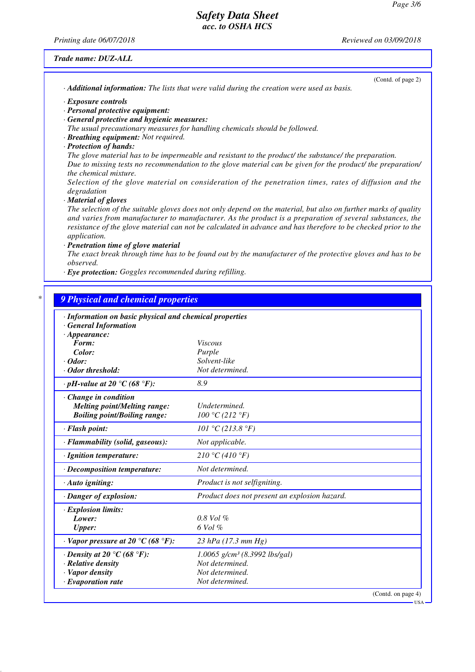*Printing date 06/07/2018 Reviewed on 03/09/2018*

*Trade name: DUZ-ALL*

(Contd. of page 2)

*· Additional information: The lists that were valid during the creation were used as basis.*

*· Exposure controls*

- *· Personal protective equipment:*
- *· General protective and hygienic measures:*

*The usual precautionary measures for handling chemicals should be followed.*

- *· Breathing equipment: Not required.*
- *· Protection of hands:*

*The glove material has to be impermeable and resistant to the product/ the substance/ the preparation. Due to missing tests no recommendation to the glove material can be given for the product/ the preparation/ the chemical mixture.*

*Selection of the glove material on consideration of the penetration times, rates of diffusion and the degradation*

*· Material of gloves*

*The selection of the suitable gloves does not only depend on the material, but also on further marks of quality and varies from manufacturer to manufacturer. As the product is a preparation of several substances, the resistance of the glove material can not be calculated in advance and has therefore to be checked prior to the application.*

*· Penetration time of glove material*

*The exact break through time has to be found out by the manufacturer of the protective gloves and has to be observed.*

*· Eye protection: Goggles recommended during refilling.*

| · Information on basic physical and chemical properties |                                               |  |
|---------------------------------------------------------|-----------------------------------------------|--|
| <b>General Information</b><br>$\cdot$ Appearance:       |                                               |  |
| Form:                                                   | <i>Viscous</i>                                |  |
| Color:                                                  | Purple                                        |  |
| $\cdot$ Odor:                                           | Solvent-like                                  |  |
| · Odor threshold:                                       | Not determined.                               |  |
| $\cdot$ pH-value at 20 $\degree$ C (68 $\degree$ F):    | 8.9                                           |  |
| Change in condition                                     |                                               |  |
| <b>Melting point/Melting range:</b>                     | Undetermined.                                 |  |
| <b>Boiling point/Boiling range:</b>                     | 100 °C (212 °F)                               |  |
| · Flash point:                                          | 101 °C (213.8 °F)                             |  |
| · Flammability (solid, gaseous):                        | Not applicable.                               |  |
| · Ignition temperature:                                 | 210 °C (410 °F)                               |  |
| · Decomposition temperature:                            | Not determined.                               |  |
| · Auto igniting:                                        | Product is not selfigniting.                  |  |
| · Danger of explosion:                                  | Product does not present an explosion hazard. |  |
| · Explosion limits:                                     |                                               |  |
| Lower:                                                  | $0.8$ Vol $%$                                 |  |
| <b>Upper:</b>                                           | 6 Vol %                                       |  |
| $\cdot$ Vapor pressure at 20 °C (68 °F):                | $23$ hPa (17.3 mm Hg)                         |  |
| $\cdot$ Density at 20 °C (68 °F):                       | $1.0065$ g/cm <sup>3</sup> (8.3992 lbs/gal)   |  |
| · Relative density                                      | Not determined.                               |  |
| · Vapor density                                         | Not determined.                               |  |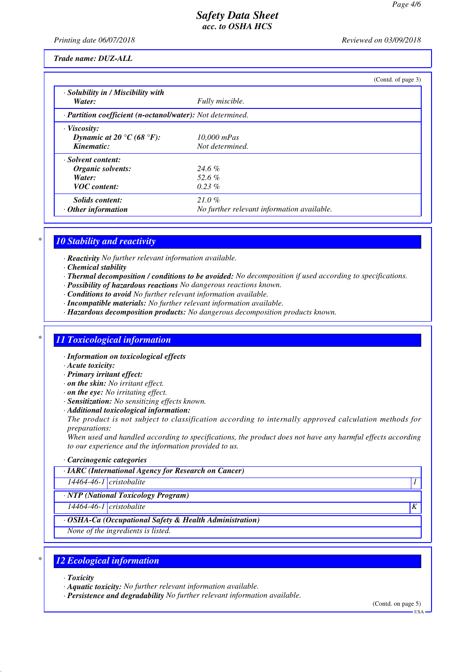*Printing date 06/07/2018 Reviewed on 03/09/2018*

*Trade name: DUZ-ALL*

|                                                            |                                            | (Contd. of page 3) |
|------------------------------------------------------------|--------------------------------------------|--------------------|
| $\cdot$ Solubility in / Miscibility with                   |                                            |                    |
| Water:                                                     | Fully miscible.                            |                    |
| · Partition coefficient (n-octanol/water): Not determined. |                                            |                    |
| $\cdot$ Viscosity:                                         |                                            |                    |
| Dynamic at 20 °C (68 °F):                                  | 10,000 mPas                                |                    |
| Kinematic:                                                 | Not determined.                            |                    |
| · Solvent content:                                         |                                            |                    |
| Organic solvents:                                          | $24.6\%$                                   |                    |
| Water:                                                     | 52.6 $%$                                   |                    |
| <b>VOC</b> content:                                        | $0.23\%$                                   |                    |
| Solids content:                                            | $21.0\%$                                   |                    |
| $\cdot$ Other information                                  | No further relevant information available. |                    |

# *\* 10 Stability and reactivity*

*· Reactivity No further relevant information available.*

- *· Chemical stability*
- *· Thermal decomposition / conditions to be avoided: No decomposition if used according to specifications.*
- *· Possibility of hazardous reactions No dangerous reactions known.*
- *· Conditions to avoid No further relevant information available.*
- *· Incompatible materials: No further relevant information available.*
- *· Hazardous decomposition products: No dangerous decomposition products known.*

### *\* 11 Toxicological information*

- *· Information on toxicological effects*
- *· Acute toxicity:*
- *· Primary irritant effect:*
- *· on the skin: No irritant effect.*
- *· on the eye: No irritating effect.*
- *· Sensitization: No sensitizing effects known.*
- *· Additional toxicological information:*

*The product is not subject to classification according to internally approved calculation methods for preparations:*

*When used and handled according to specifications, the product does not have any harmful effects according to our experience and the information provided to us.*

*· Carcinogenic categories*

*· IARC (International Agency for Research on Cancer) 14464-46-1 cristobalite 1* 

*· NTP (National Toxicology Program)*

*14464-46-1 cristobalite K* 

*· OSHA-Ca (Occupational Safety & Health Administration)*

*None of the ingredients is listed.*

### *\* 12 Ecological information*

*· Toxicity*

*· Aquatic toxicity: No further relevant information available.*

*· Persistence and degradability No further relevant information available.*

(Contd. on page 5) USA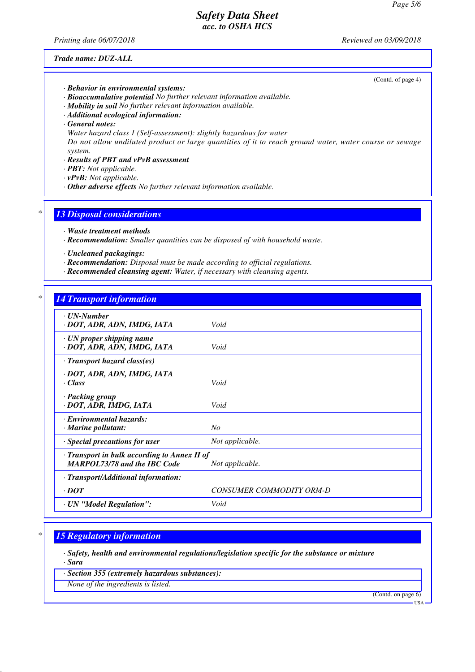*Printing date 06/07/2018 Reviewed on 03/09/2018*

(Contd. of page 4)

*Trade name: DUZ-ALL*

*· Behavior in environmental systems:*

- *· Bioaccumulative potential No further relevant information available.*
- *· Mobility in soil No further relevant information available.*
- *· Additional ecological information:*
- *· General notes:*
- *Water hazard class 1 (Self-assessment): slightly hazardous for water*

*Do not allow undiluted product or large quantities of it to reach ground water, water course or sewage system.*

- *· Results of PBT and vPvB assessment*
- *· PBT: Not applicable.*
- *· vPvB: Not applicable.*
- *· Other adverse effects No further relevant information available.*

### *\* 13 Disposal considerations*

- *· Waste treatment methods*
- *· Recommendation: Smaller quantities can be disposed of with household waste.*
- *· Uncleaned packagings:*
- *· Recommendation: Disposal must be made according to official regulations.*
- *· Recommended cleansing agent: Water, if necessary with cleansing agents.*

### *\* 14 Transport information*

| $\cdot$ UN-Number<br>· DOT, ADR, ADN, IMDG, IATA                                                             | Void                     |  |
|--------------------------------------------------------------------------------------------------------------|--------------------------|--|
| $\cdot$ UN proper shipping name<br>· DOT, ADR, ADN, IMDG, IATA                                               | Void                     |  |
| $\cdot$ Transport hazard class(es)                                                                           |                          |  |
| · DOT, ADR, ADN, IMDG, IATA<br>· Class                                                                       | Void                     |  |
| · Packing group<br>· DOT, ADR, IMDG, IATA                                                                    | Void                     |  |
| · Environmental hazards:<br>$\cdot$ Marine pollutant:                                                        | No                       |  |
| · Special precautions for user                                                                               | Not applicable.          |  |
| $\cdot$ Transport in bulk according to Annex II of<br><b>MARPOL73/78 and the IBC Code</b><br>Not applicable. |                          |  |
| · Transport/Additional information:                                                                          |                          |  |
| $\cdot$ DOT                                                                                                  | CONSUMER COMMODITY ORM-D |  |
| · UN "Model Regulation":                                                                                     | Void                     |  |

### *\* 15 Regulatory information*

*· Safety, health and environmental regulations/legislation specific for the substance or mixture*

*· Sara*

*· Section 355 (extremely hazardous substances):*

*None of the ingredients is listed.*

(Contd. on page 6)

USA